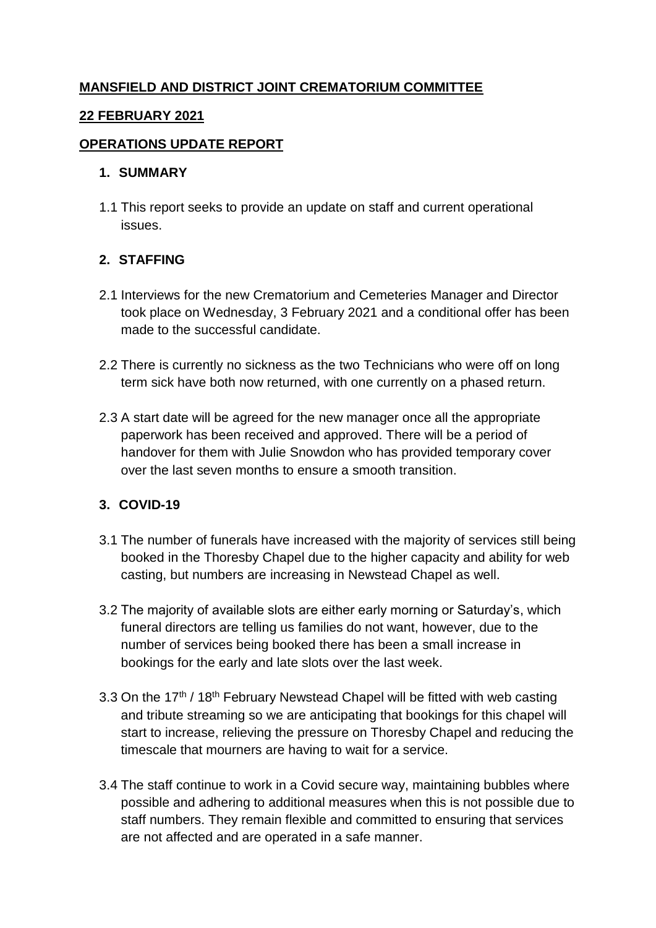# **MANSFIELD AND DISTRICT JOINT CREMATORIUM COMMITTEE**

#### **22 FEBRUARY 2021**

#### **OPERATIONS UPDATE REPORT**

#### **1. SUMMARY**

1.1 This report seeks to provide an update on staff and current operational issues.

### **2. STAFFING**

- 2.1 Interviews for the new Crematorium and Cemeteries Manager and Director took place on Wednesday, 3 February 2021 and a conditional offer has been made to the successful candidate.
- 2.2 There is currently no sickness as the two Technicians who were off on long term sick have both now returned, with one currently on a phased return.
- 2.3 A start date will be agreed for the new manager once all the appropriate paperwork has been received and approved. There will be a period of handover for them with Julie Snowdon who has provided temporary cover over the last seven months to ensure a smooth transition.

### **3. COVID-19**

- 3.1 The number of funerals have increased with the majority of services still being booked in the Thoresby Chapel due to the higher capacity and ability for web casting, but numbers are increasing in Newstead Chapel as well.
- 3.2 The majority of available slots are either early morning or Saturday's, which funeral directors are telling us families do not want, however, due to the number of services being booked there has been a small increase in bookings for the early and late slots over the last week.
- 3.3 On the 17<sup>th</sup> / 18<sup>th</sup> February Newstead Chapel will be fitted with web casting and tribute streaming so we are anticipating that bookings for this chapel will start to increase, relieving the pressure on Thoresby Chapel and reducing the timescale that mourners are having to wait for a service.
- 3.4 The staff continue to work in a Covid secure way, maintaining bubbles where possible and adhering to additional measures when this is not possible due to staff numbers. They remain flexible and committed to ensuring that services are not affected and are operated in a safe manner.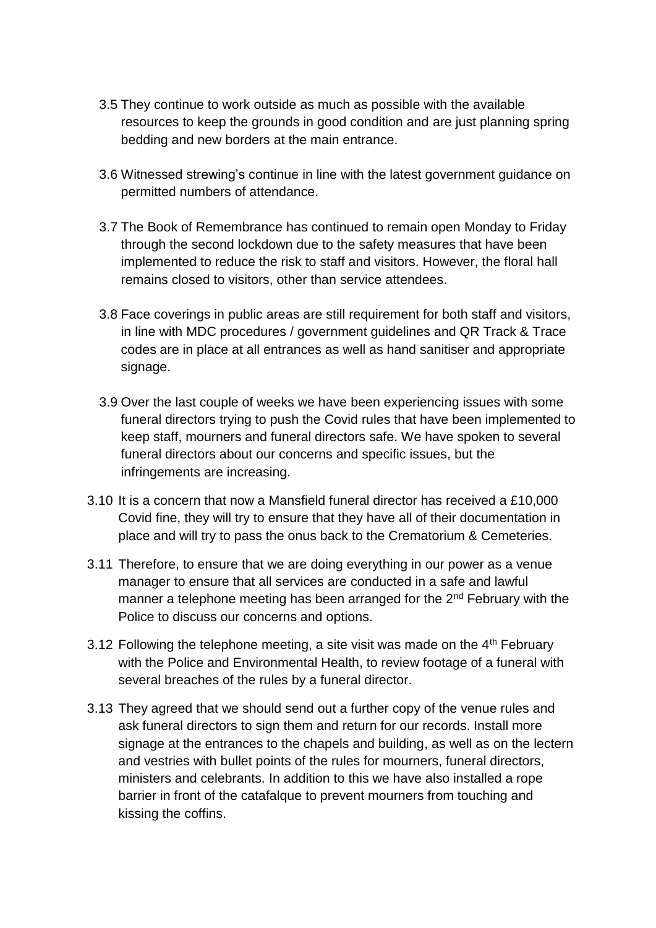- 3.5 They continue to work outside as much as possible with the available resources to keep the grounds in good condition and are just planning spring bedding and new borders at the main entrance.
- 3.6 Witnessed strewing's continue in line with the latest government guidance on permitted numbers of attendance.
- 3.7 The Book of Remembrance has continued to remain open Monday to Friday through the second lockdown due to the safety measures that have been implemented to reduce the risk to staff and visitors. However, the floral hall remains closed to visitors, other than service attendees.
- 3.8 Face coverings in public areas are still requirement for both staff and visitors, in line with MDC procedures / government guidelines and QR Track & Trace codes are in place at all entrances as well as hand sanitiser and appropriate signage.
- 3.9 Over the last couple of weeks we have been experiencing issues with some funeral directors trying to push the Covid rules that have been implemented to keep staff, mourners and funeral directors safe. We have spoken to several funeral directors about our concerns and specific issues, but the infringements are increasing.
- 3.10 It is a concern that now a Mansfield funeral director has received a £10,000 Covid fine, they will try to ensure that they have all of their documentation in place and will try to pass the onus back to the Crematorium & Cemeteries.
- 3.11 Therefore, to ensure that we are doing everything in our power as a venue manager to ensure that all services are conducted in a safe and lawful manner a telephone meeting has been arranged for the  $2<sup>nd</sup>$  February with the Police to discuss our concerns and options.
- 3.12 Following the telephone meeting, a site visit was made on the  $4<sup>th</sup>$  February with the Police and Environmental Health, to review footage of a funeral with several breaches of the rules by a funeral director.
- 3.13 They agreed that we should send out a further copy of the venue rules and ask funeral directors to sign them and return for our records. Install more signage at the entrances to the chapels and building, as well as on the lectern and vestries with bullet points of the rules for mourners, funeral directors, ministers and celebrants. In addition to this we have also installed a rope barrier in front of the catafalque to prevent mourners from touching and kissing the coffins.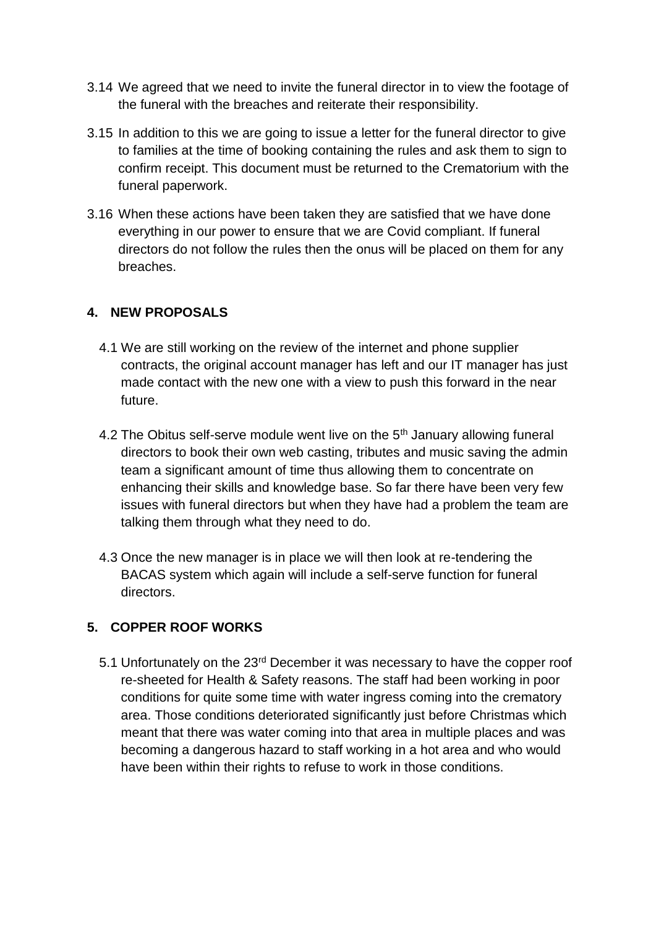- 3.14 We agreed that we need to invite the funeral director in to view the footage of the funeral with the breaches and reiterate their responsibility.
- 3.15 In addition to this we are going to issue a letter for the funeral director to give to families at the time of booking containing the rules and ask them to sign to confirm receipt. This document must be returned to the Crematorium with the funeral paperwork.
- 3.16 When these actions have been taken they are satisfied that we have done everything in our power to ensure that we are Covid compliant. If funeral directors do not follow the rules then the onus will be placed on them for any breaches.

# **4. NEW PROPOSALS**

- 4.1 We are still working on the review of the internet and phone supplier contracts, the original account manager has left and our IT manager has just made contact with the new one with a view to push this forward in the near future.
- 4.2 The Obitus self-serve module went live on the 5<sup>th</sup> January allowing funeral directors to book their own web casting, tributes and music saving the admin team a significant amount of time thus allowing them to concentrate on enhancing their skills and knowledge base. So far there have been very few issues with funeral directors but when they have had a problem the team are talking them through what they need to do.
- 4.3 Once the new manager is in place we will then look at re-tendering the BACAS system which again will include a self-serve function for funeral directors.

### **5. COPPER ROOF WORKS**

5.1 Unfortunately on the 23rd December it was necessary to have the copper roof re-sheeted for Health & Safety reasons. The staff had been working in poor conditions for quite some time with water ingress coming into the crematory area. Those conditions deteriorated significantly just before Christmas which meant that there was water coming into that area in multiple places and was becoming a dangerous hazard to staff working in a hot area and who would have been within their rights to refuse to work in those conditions.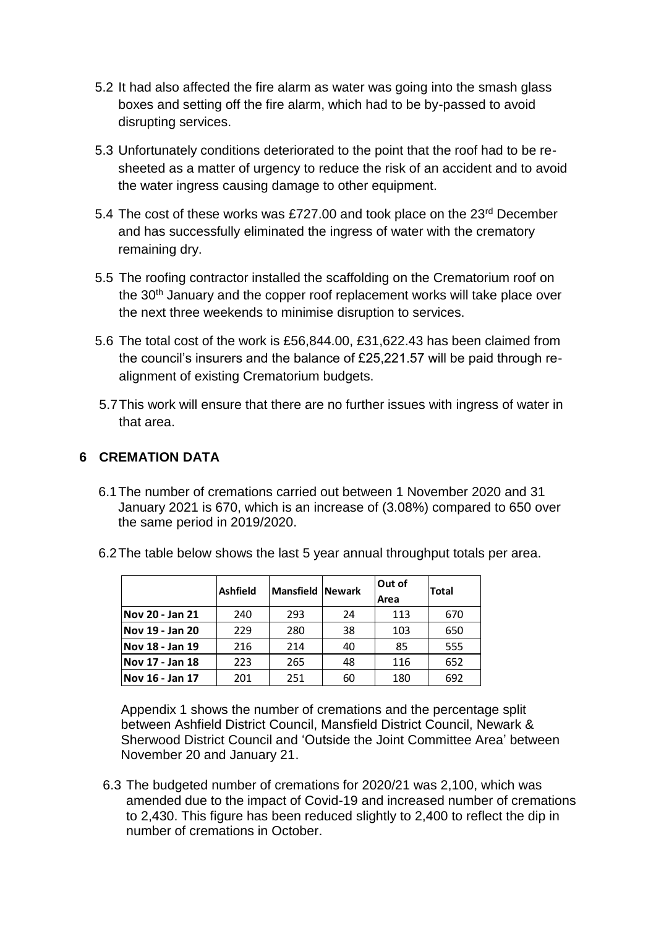- 5.2 It had also affected the fire alarm as water was going into the smash glass boxes and setting off the fire alarm, which had to be by-passed to avoid disrupting services.
- 5.3 Unfortunately conditions deteriorated to the point that the roof had to be resheeted as a matter of urgency to reduce the risk of an accident and to avoid the water ingress causing damage to other equipment.
- 5.4 The cost of these works was £727.00 and took place on the 23<sup>rd</sup> December and has successfully eliminated the ingress of water with the crematory remaining dry.
- 5.5 The roofing contractor installed the scaffolding on the Crematorium roof on the 30<sup>th</sup> January and the copper roof replacement works will take place over the next three weekends to minimise disruption to services.
- 5.6 The total cost of the work is £56,844.00, £31,622.43 has been claimed from the council's insurers and the balance of £25,221.57 will be paid through realignment of existing Crematorium budgets.
- 5.7This work will ensure that there are no further issues with ingress of water in that area.

### **6 CREMATION DATA**

- 6.1The number of cremations carried out between 1 November 2020 and 31 January 2021 is 670, which is an increase of (3.08%) compared to 650 over the same period in 2019/2020.
- 6.2The table below shows the last 5 year annual throughput totals per area.

|                 | <b>Ashfield</b> | <b>Mansfield Newark</b> |    | Out of<br>Area | <b>Total</b> |
|-----------------|-----------------|-------------------------|----|----------------|--------------|
| Nov 20 - Jan 21 | 240             | 293                     | 24 | 113            | 670          |
| Nov 19 - Jan 20 | 229             | 280                     | 38 | 103            | 650          |
| Nov 18 - Jan 19 | 216             | 214                     | 40 | 85             | 555          |
| Nov 17 - Jan 18 | 223             | 265                     | 48 | 116            | 652          |
| Nov 16 - Jan 17 | 201             | 251                     | 60 | 180            | 692          |

Appendix 1 shows the number of cremations and the percentage split between Ashfield District Council, Mansfield District Council, Newark & Sherwood District Council and 'Outside the Joint Committee Area' between November 20 and January 21.

6.3 The budgeted number of cremations for 2020/21 was 2,100, which was amended due to the impact of Covid-19 and increased number of cremations to 2,430. This figure has been reduced slightly to 2,400 to reflect the dip in number of cremations in October.